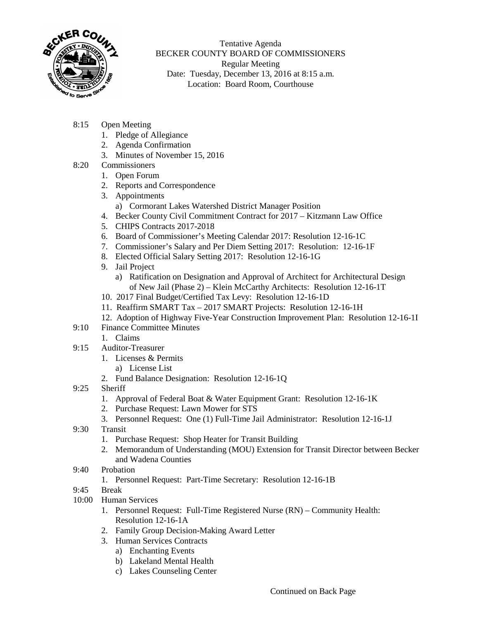

Tentative Agenda BECKER COUNTY BOARD OF COMMISSIONERS Regular Meeting Date: Tuesday, December 13, 2016 at 8:15 a.m. Location: Board Room, Courthouse

- 8:15 Open Meeting
	- 1. Pledge of Allegiance
	- 2. Agenda Confirmation
	- 3. Minutes of November 15, 2016
- 8:20 Commissioners
	- 1. Open Forum
	- 2. Reports and Correspondence
	- 3. Appointments
		- a) Cormorant Lakes Watershed District Manager Position
	- 4. Becker County Civil Commitment Contract for 2017 Kitzmann Law Office
	- 5. CHIPS Contracts 2017-2018
	- 6. Board of Commissioner's Meeting Calendar 2017: Resolution 12-16-1C
	- 7. Commissioner's Salary and Per Diem Setting 2017: Resolution: 12-16-1F
	- 8. Elected Official Salary Setting 2017: Resolution 12-16-1G
	- 9. Jail Project
		- a) Ratification on Designation and Approval of Architect for Architectural Design of New Jail (Phase 2) – Klein McCarthy Architects: Resolution 12-16-1T
	- 10. 2017 Final Budget/Certified Tax Levy: Resolution 12-16-1D
	- 11. Reaffirm SMART Tax 2017 SMART Projects: Resolution 12-16-1H
	- 12. Adoption of Highway Five-Year Construction Improvement Plan: Resolution 12-16-1I
- 9:10 Finance Committee Minutes
	- 1. Claims
- 9:15 Auditor-Treasurer
	- 1. Licenses & Permits
		- a) License List
	- 2. Fund Balance Designation: Resolution 12-16-1Q
- 9:25 Sheriff
	- 1. Approval of Federal Boat & Water Equipment Grant: Resolution 12-16-1K
	- 2. Purchase Request: Lawn Mower for STS
	- 3. Personnel Request: One (1) Full-Time Jail Administrator: Resolution 12-16-1J
- 9:30 Transit
	- 1. Purchase Request: Shop Heater for Transit Building
	- 2. Memorandum of Understanding (MOU) Extension for Transit Director between Becker and Wadena Counties
- 9:40 Probation
	- 1. Personnel Request: Part-Time Secretary: Resolution 12-16-1B
- 9:45 Break
- 10:00 Human Services
	- 1. Personnel Request: Full-Time Registered Nurse (RN) Community Health: Resolution 12-16-1A
	- 2. Family Group Decision-Making Award Letter
	- 3. Human Services Contracts
		- a) Enchanting Events
			- b) Lakeland Mental Health
		- c) Lakes Counseling Center